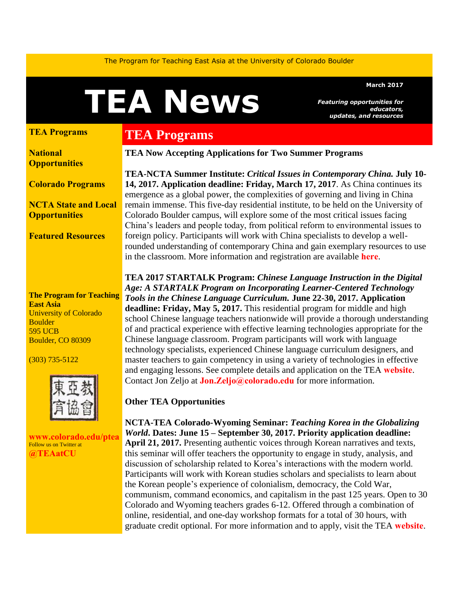The Program for Teaching East Asia at the University of Colorado Boulder

# **TEA News**

#### **March 2017**

*Featuring opportunities for educators, updates, and resources* 

#### **[TEA Programs](#page-0-0)**

**[National](#page-1-0) [Opportunities](#page-1-0)**

**[Colorado Programs](#page-2-0)**

**[NCTA State and Local](#page-3-0)  [Opportunities](#page-3-0)** 

**Featured [Resources](#page-3-1)** 

**The Program for Teaching East Asia** University of Colorado **Boulder** 595 UCB Boulder, CO 80309

(303) 735-5122



**[www.colorado.edu/ptea](http://www.colorado.edu/cas/tea)** Follow us on Twitter at **[@TEAatCU](https://twitter.com/TEAatCU)**

# <span id="page-0-0"></span>**TEA Programs**

**TEA Now Accepting Applications for Two Summer Programs** 

**TEA-NCTA Summer Institute:** *Critical Issues in Contemporary China.* **July 10- 14, 2017. Application deadline: Friday, March 17, 2017**. As China continues its emergence as a global power, the complexities of governing and living in China remain immense. This five-day residential institute, to be held on the University of Colorado Boulder campus, will explore some of the most critical issues facing China's leaders and people today, from political reform to environmental issues to foreign policy. Participants will work with China specialists to develop a wellrounded understanding of contemporary China and gain exemplary resources to use in the classroom. More information and registration are available **[here](http://www.colorado.edu/ptea/sites/default/files/attached-files/china_si17_application.pdf)**.

**TEA 2017 STARTALK Program:** *Chinese Language Instruction in the Digital Age: A STARTALK Program on Incorporating Learner-Centered Technology Tools in the Chinese Language Curriculum.* **June 22-30, 2017. Application deadline: Friday, May 5, 2017.** This residential program for middle and high school Chinese language teachers nationwide will provide a thorough understanding of and practical experience with effective learning technologies appropriate for the Chinese language classroom. Program participants will work with language technology specialists, experienced Chinese language curriculum designers, and master teachers to gain competency in using a variety of technologies in effective and engaging lessons. See complete details and application on the TEA **[website](http://www.colorado.edu/ptea/programs/teaching-east-asia-china/startalk)**. Contact Jon Zeljo at **[Jon.Zeljo@colorado.edu](mailto:Jon.Zeljo@colorado.edu)** for more information.

#### **Other TEA Opportunities**

**NCTA-TEA Colorado-Wyoming Seminar:** *Teaching Korea in the Globalizing World***. Dates: June 15 – September 30, 2017. Priority application deadline: April 21, 2017.** Presenting authentic voices through Korean narratives and texts, this seminar will offer teachers the opportunity to engage in study, analysis, and discussion of scholarship related to Korea's interactions with the modern world. Participants will work with Korean studies scholars and specialists to learn about the Korean people's experience of colonialism, democracy, the Cold War, communism, command economics, and capitalism in the past 125 years. Open to 30 Colorado and Wyoming teachers grades 6-12. Offered through a combination of online, residential, and one-day workshop formats for a total of 30 hours, with graduate credit optional. For more information and to apply, visit the TEA **[website](http://www.colorado.edu/ptea/sites/default/files/attached-files/kf2017semflyer.pdf)**.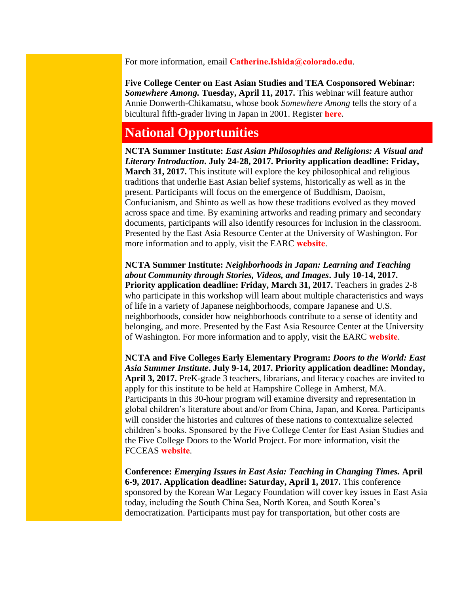For more information, email **[Catherine.Ishida@colorado.edu](mailto:Catherine.Ishida@colorado.edu)**.

**Five College Center on East Asian Studies and TEA Cosponsored Webinar:** *Somewhere Among.* **Tuesday, April 11, 2017.** This webinar will feature author Annie Donwerth-Chikamatsu, whose book *Somewhere Among* tells the story of a bicultural fifth-grader living in Japan in 2001. Register **[here](https://attendee.gotowebinar.com/register/3947167958976154115)**.

## <span id="page-1-0"></span>**National Opportunities**

**NCTA Summer Institute:** *East Asian Philosophies and Religions: A Visual and Literary Introduction***. July 24-28, 2017. Priority application deadline: Friday, March 31, 2017.** This institute will explore the key philosophical and religious traditions that underlie East Asian belief systems, historically as well as in the present. Participants will focus on the emergence of Buddhism, Daoism, Confucianism, and Shinto as well as how these traditions evolved as they moved across space and time. By examining artworks and reading primary and secondary documents, participants will also identify resources for inclusion in the classroom. Presented by the East Asia Resource Center at the University of Washington. For more information and to apply, visit the EARC **[website](https://jsis.washington.edu/earc/east-asian-philosophies-religions/)**.

**NCTA Summer Institute:** *Neighborhoods in Japan: Learning and Teaching about Community through Stories, Videos, and Images***. July 10-14, 2017. Priority application deadline: Friday, March 31, 2017.** Teachers in grades 2-8 who participate in this workshop will learn about multiple characteristics and ways of life in a variety of Japanese neighborhoods, compare Japanese and U.S. neighborhoods, consider how neighborhoods contribute to a sense of identity and belonging, and more. Presented by the East Asia Resource Center at the University of Washington. For more information and to apply, visit the EARC **[website](https://jsis.washington.edu/earc/neighborhoods-japan/)**.

**NCTA and Five Colleges Early Elementary Program:** *Doors to the World: East Asia Summer Institute***. July 9-14, 2017. Priority application deadline: Monday, April 3, 2017.** PreK-grade 3 teachers, librarians, and literacy coaches are invited to apply for this institute to be held at Hampshire College in Amherst, MA. Participants in this 30-hour program will examine diversity and representation in global children's literature about and/or from China, Japan, and Korea. Participants will consider the histories and cultures of these nations to contextualize selected children's books. Sponsored by the Five College Center for East Asian Studies and the Five College Doors to the World Project. For more information, visit the FCCEAS **[website](https://www.fivecolleges.edu/partnership/doors-to-the-world)**.

**Conference:** *Emerging Issues in East Asia: Teaching in Changing Times.* **April 6-9, 2017. Application deadline: Saturday, April 1, 2017.** This conference sponsored by the Korean War Legacy Foundation will cover key issues in East Asia today, including the South China Sea, North Korea, and South Korea's democratization. Participants must pay for transportation, but other costs are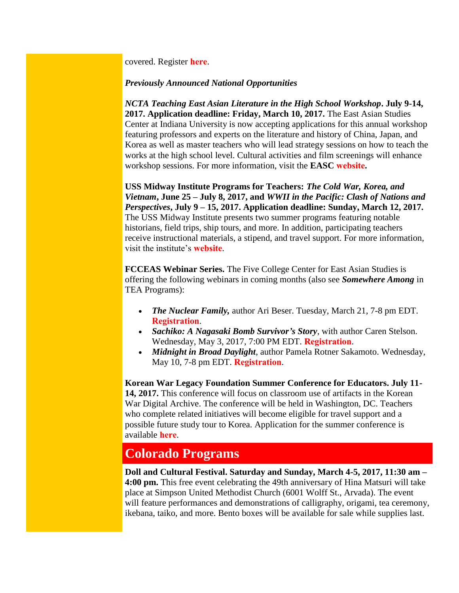covered. Register **[here](http://koreanwarlegacy.org/conference/)**.

#### *Previously Announced National Opportunities*

*NCTA Teaching East Asian Literature in the High School Workshop***. July 9-14, 2017. Application deadline: Friday, March 10, 2017.** The East Asian Studies Center at Indiana University is now accepting applications for this annual workshop featuring professors and experts on the literature and history of China, Japan, and Korea as well as master teachers who will lead strategy sessions on how to teach the works at the high school level. Cultural activities and film screenings will enhance workshop sessions. For more information, visit the **EASC [website](http://www.indiana.edu/~easc/outreach/educators/literature/index.shtml).** 

**USS Midway Institute Programs for Teachers:** *The Cold War, Korea, and Vietnam***, June 25 – July 8, 2017, and** *WWII in the Pacific: Clash of Nations and Perspectives***, July 9 – 15, 2017. Application deadline: Sunday, March 12, 2017.**  The USS Midway Institute presents two summer programs featuring notable historians, field trips, ship tours, and more. In addition, participating teachers receive instructional materials, a stipend, and travel support. For more information, visit the institute's **[website](http://www.midway.org/midway-institute-teachers)**.

**FCCEAS Webinar Series.** The Five College Center for East Asian Studies is offering the following webinars in coming months (also see *Somewhere Among* in TEA Programs):

- *The Nuclear Family,* author Ari Beser. Tuesday, March 21, 7-8 pm EDT. **[Registration](https://attendee.gotowebinar.com/register/8030959752877203972)**.
- *Sachiko: A Nagasaki Bomb Survivor's Story*, with author Caren Stelson. Wednesday, May 3, 2017, 7:00 PM EDT. **[Registration](https://attendee.gotowebinar.com/register/156825922730581761)**.
- *Midnight in Broad Daylight*, author Pamela Rotner Sakamoto. Wednesday, May 10, 7-8 pm EDT. **[Registration](https://attendee.gotowebinar.com/register/921063470282094851)**.

**Korean War Legacy Foundation Summer Conference for Educators. July 11- 14, 2017.** This conference will focus on classroom use of artifacts in the Korean War Digital Archive. The conference will be held in Washington, DC. Teachers who complete related initiatives will become eligible for travel support and a possible future study tour to Korea. Application for the summer conference is available **[here](https://koreanwardigitalhistoryproject.submittable.com/submit/74807/2017-korean-war-digital-history-project-teacher-conference)**.

## <span id="page-2-0"></span>**Colorado Programs**

**Doll and Cultural Festival. Saturday and Sunday, March 4-5, 2017, 11:30 am – 4:00 pm.** This free event celebrating the 49th anniversary of Hina Matsuri will take place at Simpson United Methodist Church (6001 Wolff St., Arvada). The event will feature performances and demonstrations of calligraphy, origami, tea ceremony, ikebana, taiko, and more. Bento boxes will be available for sale while supplies last.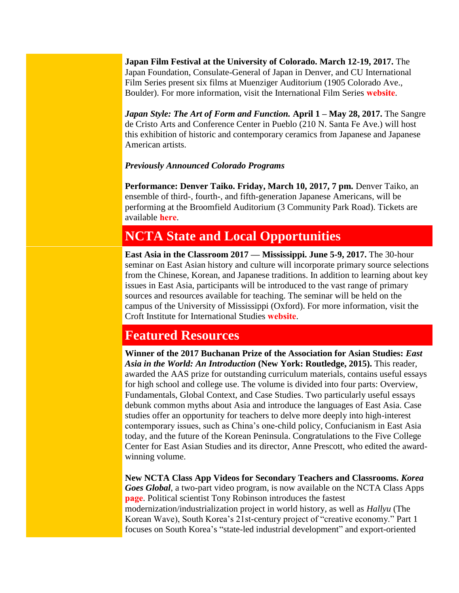**Japan Film Festival at the University of Colorado. March 12-19, 2017.** The Japan Foundation, Consulate-General of Japan in Denver, and CU International Film Series present six films at Muenziger Auditorium (1905 Colorado Ave., Boulder). For more information, visit the International Film Series **[website](http://www.internationalfilmseries.com/schedule.php)**.

*Japan Style: The Art of Form and Function.* **April 1 – May 28, 2017.** The Sangre de Cristo Arts and Conference Center in Pueblo (210 N. Santa Fe Ave.) will host this exhibition of historic and contemporary ceramics from Japanese and Japanese American artists.

#### *Previously Announced Colorado Programs*

**Performance: Denver Taiko. Friday, March 10, 2017, 7 pm.** Denver Taiko, an ensemble of third-, fourth-, and fifth-generation Japanese Americans, will be performing at the Broomfield Auditorium (3 Community Park Road). Tickets are available **[here](http://denvertaiko.brownpapertickets.com/)**.

## <span id="page-3-0"></span>**NCTA State and Local Opportunities**

**East Asia in the Classroom 2017 — Mississippi. June 5-9, 2017.** The 30-hour seminar on East Asian history and culture will incorporate primary source selections from the Chinese, Korean, and Japanese traditions. In addition to learning about key issues in East Asia, participants will be introduced to the vast range of primary sources and resources available for teaching. The seminar will be held on the campus of the University of Mississippi (Oxford). For more information, visit the Croft Institute for International Studies **[website](http://www.croft.olemiss.edu/teachers/east-asia-workshop)**.

## <span id="page-3-1"></span>**Featured Resources**

**Winner of the 2017 Buchanan Prize of the Association for Asian Studies:** *East Asia in the World: An Introduction* **(New York: Routledge, 2015).** This reader, awarded the AAS prize for outstanding curriculum materials, contains useful essays for high school and college use. The volume is divided into four parts: Overview, Fundamentals, Global Context, and Case Studies. Two particularly useful essays debunk common myths about Asia and introduce the languages of East Asia. Case studies offer an opportunity for teachers to delve more deeply into high-interest contemporary issues, such as China's one-child policy, Confucianism in East Asia today, and the future of the Korean Peninsula. Congratulations to the Five College Center for East Asian Studies and its director, Anne Prescott, who edited the awardwinning volume.

**New NCTA Class App Videos for Secondary Teachers and Classrooms.** *Korea Goes Global*, a two-part video program, is now available on the NCTA Class Apps **[page](http://nctasia.org/resources/class-apps/)**. Political scientist Tony Robinson introduces the fastest modernization/industrialization project in world history, as well as *Hallyu* (The Korean Wave), South Korea's 21st-century project of "creative economy." Part 1 focuses on South Korea's "state-led industrial development" and export-oriented